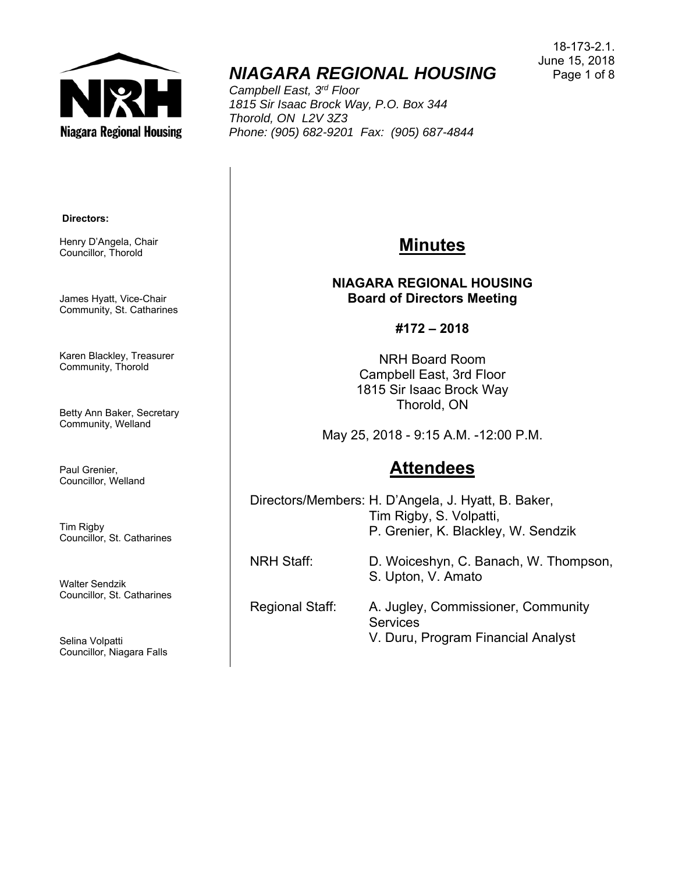

# *NIAGARA REGIONAL HOUSING*

*Campbell East, 3rd Floor 1815 Sir Isaac Brock Way, P.O. Box 344 Thorold, ON L2V 3Z3 Phone: (905) 682-9201 Fax: (905) 687-4844* 

#### **Directors:**

Henry D'Angela, Chair Councillor, Thorold

James Hyatt, Vice-Chair Community, St. Catharines

Karen Blackley, Treasurer Community, Thorold

Betty Ann Baker, Secretary Community, Welland

Paul Grenier, Councillor, Welland

Tim Rigby Councillor, St. Catharines

Walter Sendzik Councillor, St. Catharines

Selina Volpatti Councillor, Niagara Falls

### **Minutes**

**NIAGARA REGIONAL HOUSING Board of Directors Meeting** 

**#172 – 2018** 

NRH Board Room Campbell East, 3rd Floor 1815 Sir Isaac Brock Way Thorold, ON

May 25, 2018 - 9:15 A.M. -12:00 P.M.

### **Attendees**

Directors/Members: H. D'Angela, J. Hyatt, B. Baker, Tim Rigby, S. Volpatti, P. Grenier, K. Blackley, W. Sendzik

S. Upton, V. Amato

NRH Staff: D. Woiceshyn, C. Banach, W. Thompson,

### Regional Staff: A. Jugley, Commissioner, Community **Services**

V. Duru, Program Financial Analyst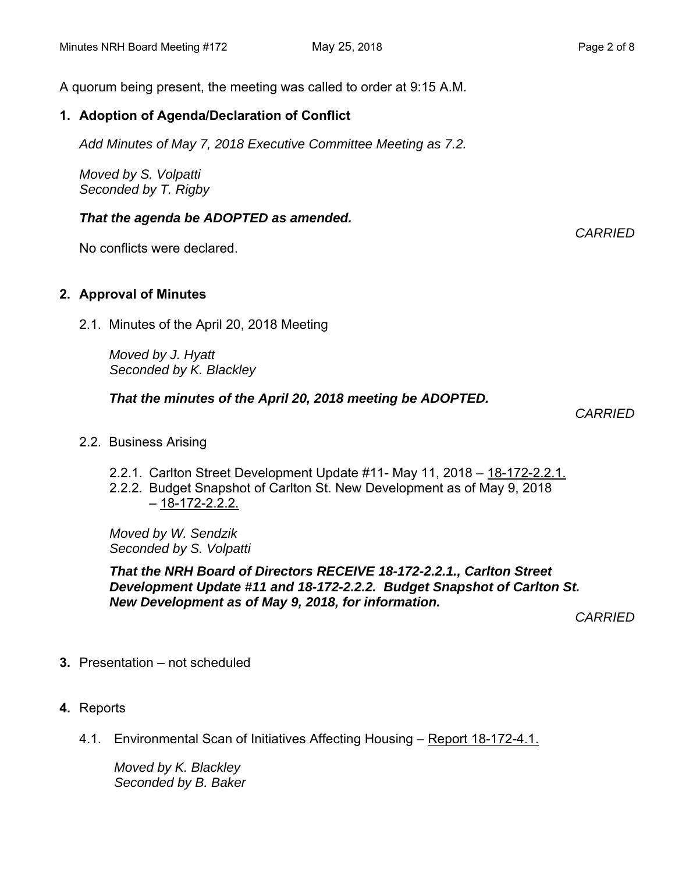A quorum being present, the meeting was called to order at 9:15 A.M.

#### **1. Adoption of Agenda/Declaration of Conflict**

*Add Minutes of May 7, 2018 Executive Committee Meeting as 7.2.* 

*Moved by S. Volpatti Seconded by T. Rigby*

#### *That the agenda be ADOPTED as amended.*

No conflicts were declared.

#### **2. Approval of Minutes**

2.1. Minutes of the April 20, 2018 Meeting

*Moved by J. Hyatt Seconded by K. Blackley*

#### *That the minutes of the April 20, 2018 meeting be ADOPTED.*

 *CARRIED* 

- 2.2. Business Arising
	- 2.2.1. Carlton Street Development Update #11- May 11, 2018 18-172-2.2.1.
	- 2.2.2. Budget Snapshot of Carlton St. New Development as of May 9, 2018  $-18-172-2.2.2$

*Moved by W. Sendzik Seconded by S. Volpatti* 

*That the NRH Board of Directors RECEIVE 18-172-2.2.1., Carlton Street Development Update #11 and 18-172-2.2.2. Budget Snapshot of Carlton St. New Development as of May 9, 2018, for information.* 

*CARRIED* 

- **3.** Presentation not scheduled
- **4.** Reports
	- 4.1. Environmental Scan of Initiatives Affecting Housing Report 18-172-4.1.

*Moved by K. Blackley Seconded by B. Baker* *CARRIED*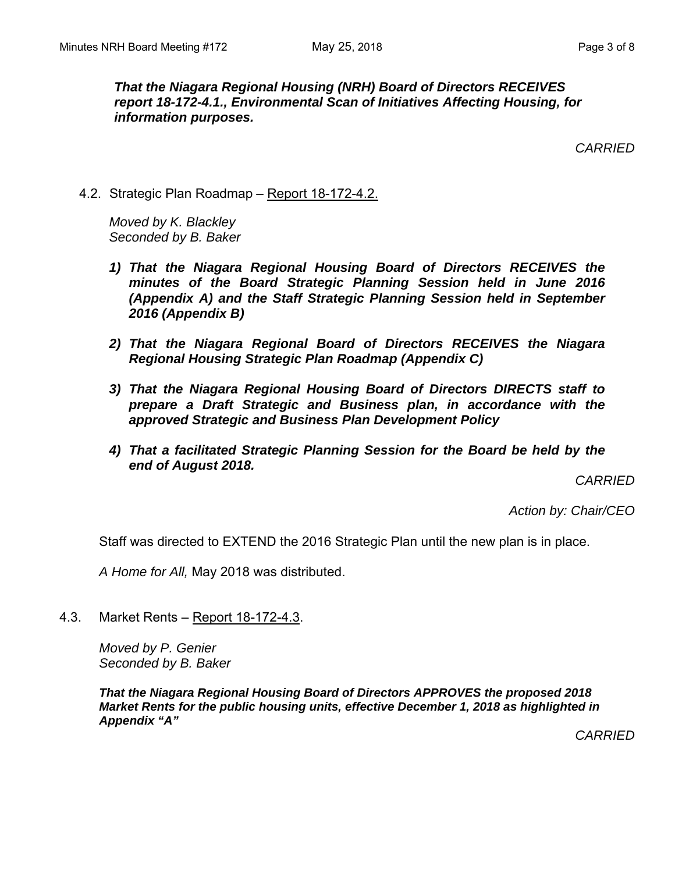*That the Niagara Regional Housing (NRH) Board of Directors RECEIVES report 18-172-4.1., Environmental Scan of Initiatives Affecting Housing, for information purposes.* 

*CARRIED* 

4.2. Strategic Plan Roadmap – Report 18-172-4.2.

*Moved by K. Blackley Seconded by B. Baker* 

- *1) That the Niagara Regional Housing Board of Directors RECEIVES the minutes of the Board Strategic Planning Session held in June 2016 (Appendix A) and the Staff Strategic Planning Session held in September 2016 (Appendix B)*
- *2) That the Niagara Regional Board of Directors RECEIVES the Niagara Regional Housing Strategic Plan Roadmap (Appendix C)*
- *3) That the Niagara Regional Housing Board of Directors DIRECTS staff to prepare a Draft Strategic and Business plan, in accordance with the approved Strategic and Business Plan Development Policy*
- *4) That a facilitated Strategic Planning Session for the Board be held by the end of August 2018.*

*CARRIED* 

*Action by: Chair/CEO* 

Staff was directed to EXTEND the 2016 Strategic Plan until the new plan is in place.

*A Home for All,* May 2018 was distributed.

4.3. Market Rents – Report 18-172-4.3.

 *Moved by P. Genier Seconded by B. Baker* 

*That the Niagara Regional Housing Board of Directors APPROVES the proposed 2018 Market Rents for the public housing units, effective December 1, 2018 as highlighted in Appendix "A"* 

*CARRIED*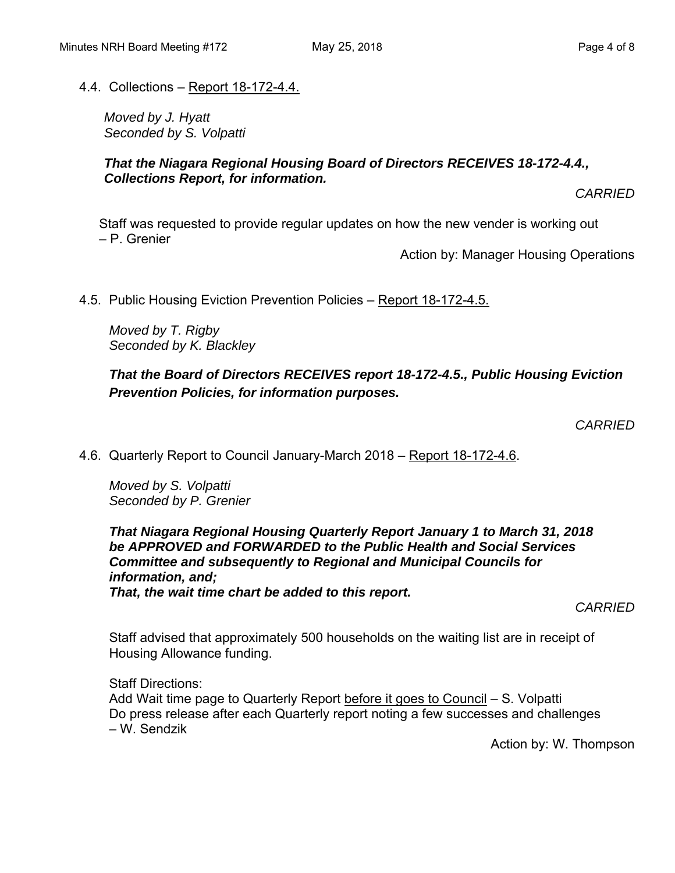#### 4.4. Collections – Report 18-172-4.4.

*Moved by J. Hyatt Seconded by S. Volpatti* 

#### *That the Niagara Regional Housing Board of Directors RECEIVES 18-172-4.4., Collections Report, for information.*

*CARRIED* 

Staff was requested to provide regular updates on how the new vender is working out – P. Grenier

Action by: Manager Housing Operations

4.5. Public Housing Eviction Prevention Policies – Report 18-172-4.5.

*Moved by T. Rigby Seconded by K. Blackley* 

*That the Board of Directors RECEIVES report 18-172-4.5., Public Housing Eviction Prevention Policies, for information purposes.* 

*CARRIED* 

4.6. Quarterly Report to Council January-March 2018 – Report 18-172-4.6.

*Moved by S. Volpatti Seconded by P. Grenier* 

*That Niagara Regional Housing Quarterly Report January 1 to March 31, 2018 be APPROVED and FORWARDED to the Public Health and Social Services Committee and subsequently to Regional and Municipal Councils for information, and; That, the wait time chart be added to this report.* 

*CARRIED* 

Staff advised that approximately 500 households on the waiting list are in receipt of Housing Allowance funding.

Staff Directions: Add Wait time page to Quarterly Report before it goes to Council – S. Volpatti Do press release after each Quarterly report noting a few successes and challenges – W. Sendzik

Action by: W. Thompson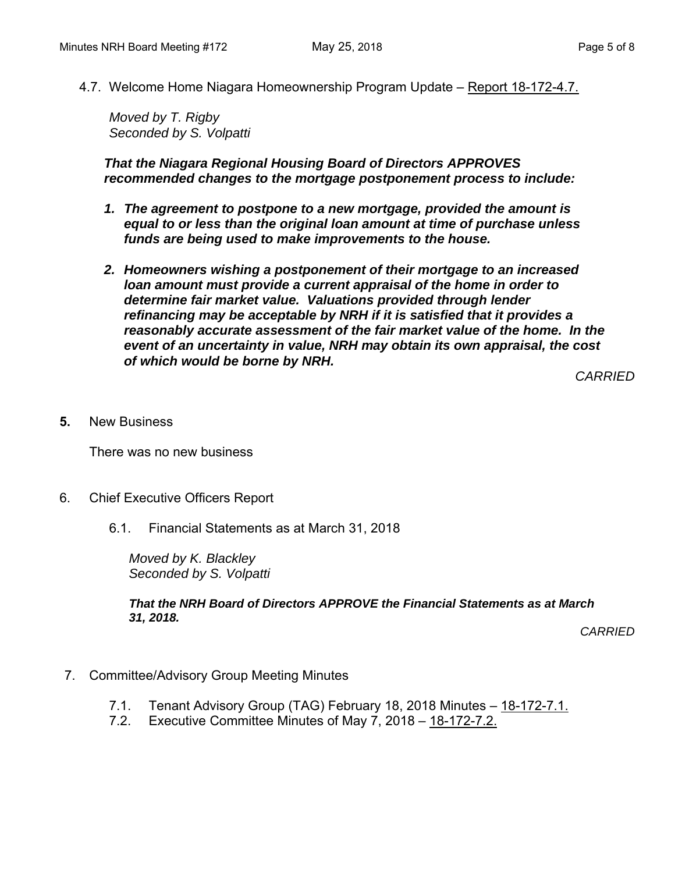4.7. Welcome Home Niagara Homeownership Program Update – Report 18-172-4.7.

*Moved by T. Rigby Seconded by S. Volpatti* 

*That the Niagara Regional Housing Board of Directors APPROVES recommended changes to the mortgage postponement process to include:* 

- *1. The agreement to postpone to a new mortgage, provided the amount is equal to or less than the original loan amount at time of purchase unless funds are being used to make improvements to the house.*
- *2. Homeowners wishing a postponement of their mortgage to an increased loan amount must provide a current appraisal of the home in order to determine fair market value. Valuations provided through lender refinancing may be acceptable by NRH if it is satisfied that it provides a reasonably accurate assessment of the fair market value of the home. In the event of an uncertainty in value, NRH may obtain its own appraisal, the cost of which would be borne by NRH.*

*CARRIED* 

**5.** New Business

There was no new business

- 6. Chief Executive Officers Report
	- 6.1. Financial Statements as at March 31, 2018

*Moved by K. Blackley Seconded by S. Volpatti* 

*That the NRH Board of Directors APPROVE the Financial Statements as at March 31, 2018.* 

*CARRIED* 

- 7. Committee/Advisory Group Meeting Minutes
	- 7.1. Tenant Advisory Group (TAG) February 18, 2018 Minutes 18-172-7.1.
	- 7.2. Executive Committee Minutes of May 7, 2018 18-172-7.2.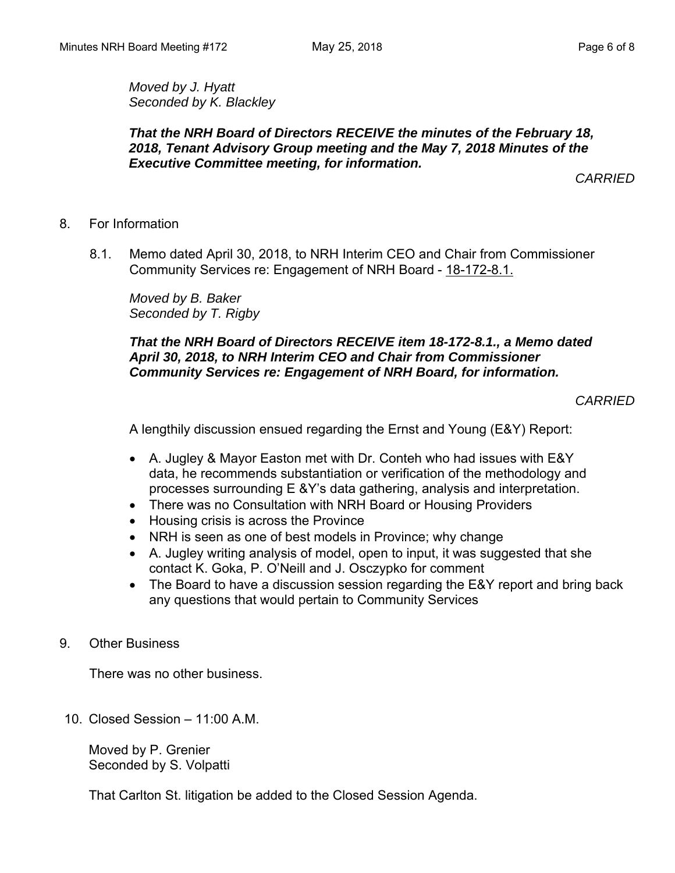*Moved by J. Hyatt Seconded by K. Blackley*

#### *That the NRH Board of Directors RECEIVE the minutes of the February 18, 2018, Tenant Advisory Group meeting and the May 7, 2018 Minutes of the Executive Committee meeting, for information.*

*CARRIED* 

- 8. For Information
	- 8.1. Memo dated April 30, 2018, to NRH Interim CEO and Chair from Commissioner Community Services re: Engagement of NRH Board - 18-172-8.1.

*Moved by B. Baker Seconded by T. Rigby* 

#### *That the NRH Board of Directors RECEIVE item 18-172-8.1., a Memo dated April 30, 2018, to NRH Interim CEO and Chair from Commissioner Community Services re: Engagement of NRH Board, for information.*

*CARRIED* 

A lengthily discussion ensued regarding the Ernst and Young (E&Y) Report:

- A. Jugley & Mayor Easton met with Dr. Conteh who had issues with E&Y data, he recommends substantiation or verification of the methodology and processes surrounding E &Y's data gathering, analysis and interpretation.
- There was no Consultation with NRH Board or Housing Providers
- Housing crisis is across the Province
- NRH is seen as one of best models in Province; why change
- A. Jugley writing analysis of model, open to input, it was suggested that she contact K. Goka, P. O'Neill and J. Osczypko for comment
- The Board to have a discussion session regarding the E&Y report and bring back any questions that would pertain to Community Services
- 9. Other Business

There was no other business.

10. Closed Session – 11:00 A.M.

Moved by P. Grenier Seconded by S. Volpatti

That Carlton St. litigation be added to the Closed Session Agenda.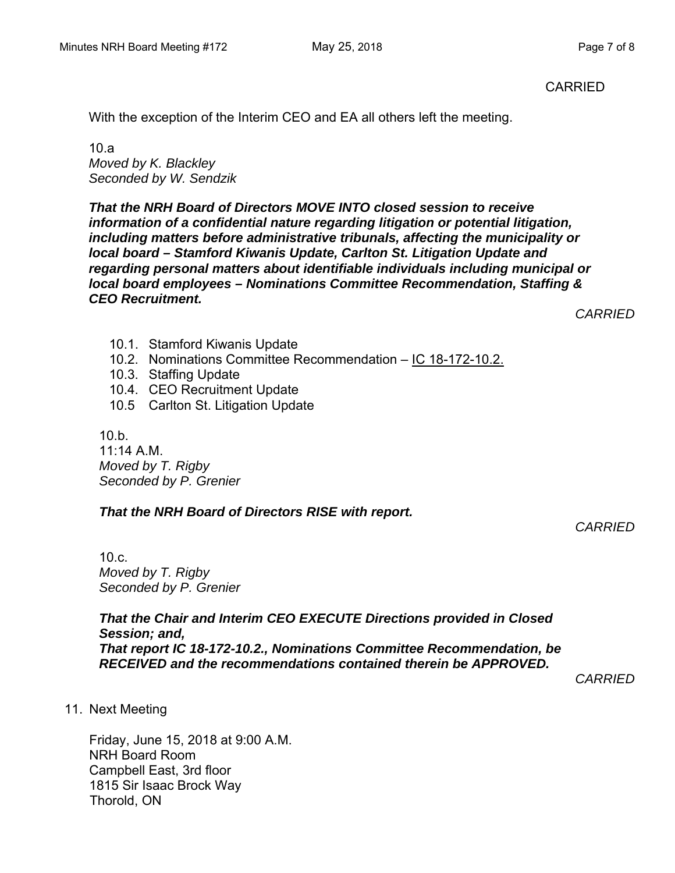With the exception of the Interim CEO and EA all others left the meeting.

 $10a$ *Moved by K. Blackley Seconded by W. Sendzik* 

*That the NRH Board of Directors MOVE INTO closed session to receive information of a confidential nature regarding litigation or potential litigation, including matters before administrative tribunals, affecting the municipality or local board – Stamford Kiwanis Update, Carlton St. Litigation Update and regarding personal matters about identifiable individuals including municipal or local board employees – Nominations Committee Recommendation, Staffing & CEO Recruitment.* 

*CARRIED* 

- 10.1. Stamford Kiwanis Update
- 10.2. Nominations Committee Recommendation IC 18-172-10.2.
- 10.3. Staffing Update
- 10.4. CEO Recruitment Update
- 10.5 Carlton St. Litigation Update

 $10 b$ 11:14 A.M. *Moved by T. Rigby Seconded by P. Grenier* 

#### *That the NRH Board of Directors RISE with report.*

*CARRIED* 

10.c. *Moved by T. Rigby Seconded by P. Grenier* 

*That the Chair and Interim CEO EXECUTE Directions provided in Closed Session; and, That report IC 18-172-10.2., Nominations Committee Recommendation, be RECEIVED and the recommendations contained therein be APPROVED.*

*CARRIED* 

11. Next Meeting

Friday, June 15, 2018 at 9:00 A.M. NRH Board Room Campbell East, 3rd floor 1815 Sir Isaac Brock Way Thorold, ON